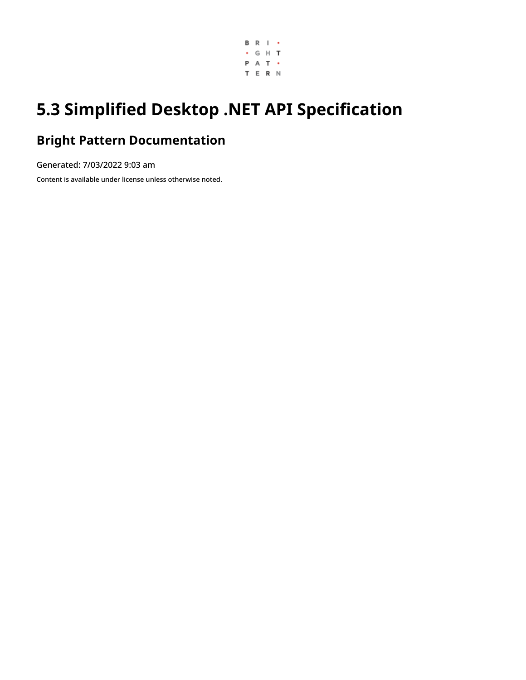

# **5.3 Simplified Desktop .NET API Specification**

### **Bright Pattern Documentation**

Generated: 7/03/2022 9:03 am

Content is available under license unless otherwise noted.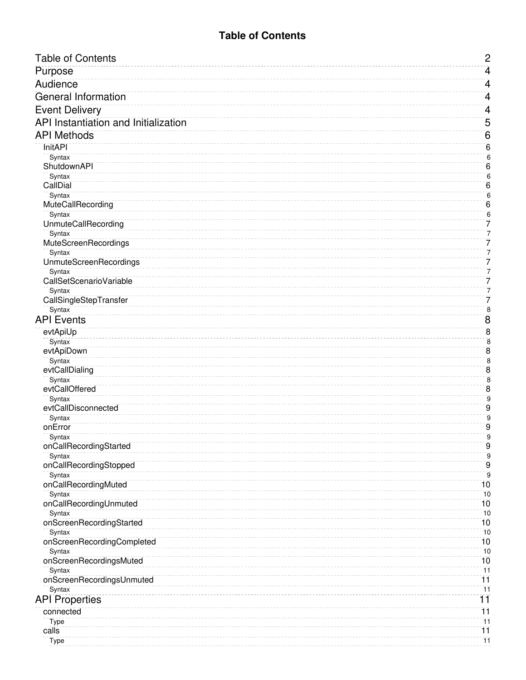#### **Table of Contents**

<span id="page-1-0"></span>

| <b>Table of Contents</b>                | $\overline{c}$            |
|-----------------------------------------|---------------------------|
| Purpose                                 | $\overline{4}$            |
| Audience                                | 4                         |
| <b>General Information</b>              | $\overline{4}$            |
|                                         |                           |
| <b>Event Delivery</b>                   | $\overline{4}$            |
| API Instantiation and Initialization    | $\overline{5}$            |
| <b>API Methods</b>                      | 6                         |
| <b>InitAPI</b>                          | $6\phantom{1}6$           |
| Syntax                                  | $6\phantom{1}6$           |
| ShutdownAPI                             | $6\phantom{1}6$           |
| Syntax                                  | $\overline{6}$<br>$6\,$   |
| CallDial<br>Syntax                      | $\boldsymbol{6}$          |
| MuteCallRecording                       | $\overline{6}$            |
| Syntax                                  | $\boldsymbol{6}$          |
| <b>UnmuteCallRecording</b>              | 7                         |
| Syntax                                  | 7                         |
| MuteScreenRecordings                    | 7                         |
| Syntax                                  | 7                         |
| <b>UnmuteScreenRecordings</b><br>Syntax | 7<br>7                    |
| CallSetScenarioVariable                 | 7                         |
| Syntax                                  | 7                         |
| CallSingleStepTransfer                  | 7                         |
| Syntax                                  | $\overline{\bf 8}$        |
| <b>API Events</b>                       | $\bf 8$                   |
| evtApiUp                                | $\overline{8}$            |
| Syntax                                  | $\bf 8$                   |
| evtApiDown                              | $\overline{8}$            |
| Syntax                                  | $\bf 8$                   |
| evtCallDialing<br>Syntax                | $\overline{8}$<br>$\bf 8$ |
| evtCallOffered                          | $\bf 8$                   |
| Syntax                                  | $\mathsf g$               |
| evtCallDisconnected                     | $\overline{9}$            |
| Syntax                                  | $\overline{9}$            |
| onError                                 | $\overline{9}$            |
| Syntax                                  | $\overline{9}$            |
| onCallRecordingStarted                  | 9                         |
| Syntax<br>onCallRecordingStopped        | $\overline{9}$<br>$9\,$   |
| Syntax                                  | $9$                       |
| onCallRecordingMuted                    | 10                        |
| Syntax                                  | 10                        |
| onCallRecordingUnmuted                  | 10                        |
| Syntax                                  | 10                        |
| onScreenRecordingStarted                | 10                        |
| Syntax<br>onScreenRecordingCompleted    | 10<br>10                  |
| Syntax                                  | 10                        |
| onScreenRecordingsMuted                 | 10                        |
| Syntax                                  | $\overline{11}$           |
| onScreenRecordingsUnmuted               | $\overline{11}$           |
| Syntax                                  | $\overline{11}$           |
| <b>API Properties</b>                   | 11                        |
| connected                               | 11                        |
| Type                                    | 11                        |
| calls                                   | 11                        |
| Type                                    | 11                        |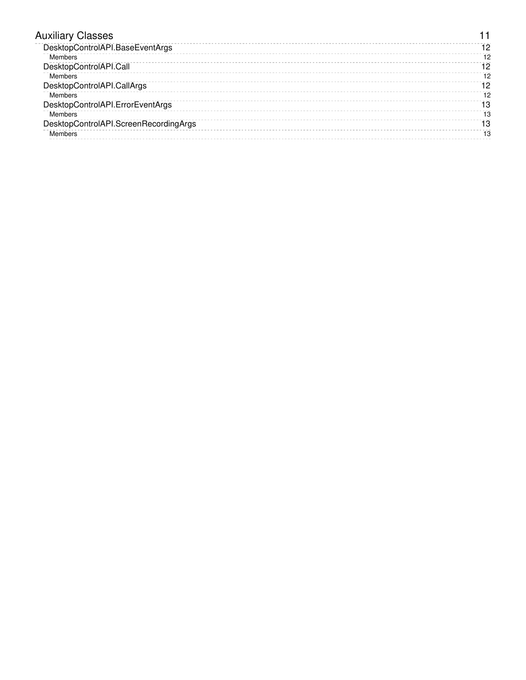| <b>Auxiliary Classes</b>              |    |
|---------------------------------------|----|
| DesktopControlAPI.BaseEventArgs       | 12 |
| Members                               | 12 |
| DesktopControlAPI.Call                | 12 |
| Members                               | 12 |
| DesktopControlAPI.CallArgs            | 12 |
| Members                               | 12 |
| DesktopControlAPI.ErrorEventArgs      | 13 |
| Members                               | 13 |
| DesktopControlAPI.ScreenRecordingArgs | 13 |
| Members                               | 13 |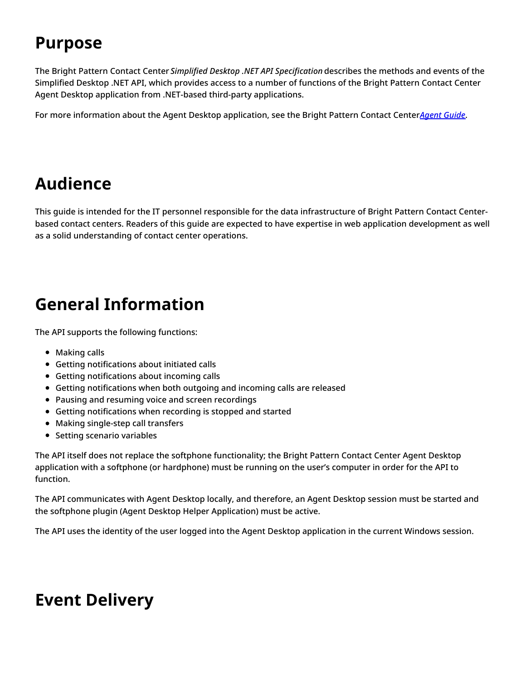# <span id="page-3-0"></span>**Purpose**

The Bright Pattern Contact Center *Simplified Desktop .NET API Specification* describes the methods and events of the Simplified Desktop .NET API, which provides access to a number of functions of the Bright Pattern Contact Center Agent Desktop application from .NET-based third-party applications.

For more information about the Agent Desktop application, see the Bright Pattern Contact Center*Agent [Guide](https://help.brightpattern.com/5.3:Simplified-desktop-net-api-specification/?action=html-localimages-export#topic_agent-guide.2Fpurpose)*.

## <span id="page-3-1"></span>**Audience**

This guide is intended for the IT personnel responsible for the data infrastructure of Bright Pattern Contact Centerbased contact centers. Readers of this guide are expected to have expertise in web application development as well as a solid understanding of contact center operations.

## <span id="page-3-2"></span>**General Information**

The API supports the following functions:

- Making calls
- Getting notifications about initiated calls
- Getting notifications about incoming calls
- Getting notifications when both outgoing and incoming calls are released
- Pausing and resuming voice and screen recordings
- Getting notifications when recording is stopped and started
- Making single-step call transfers
- Setting scenario variables

The API itself does not replace the softphone functionality; the Bright Pattern Contact Center Agent Desktop application with a softphone (or hardphone) must be running on the user's computer in order for the API to function.

The API communicates with Agent Desktop locally, and therefore, an Agent Desktop session must be started and the softphone plugin (Agent Desktop Helper Application) must be active.

The API uses the identity of the user logged into the Agent Desktop application in the current Windows session.

## <span id="page-3-3"></span>**Event Delivery**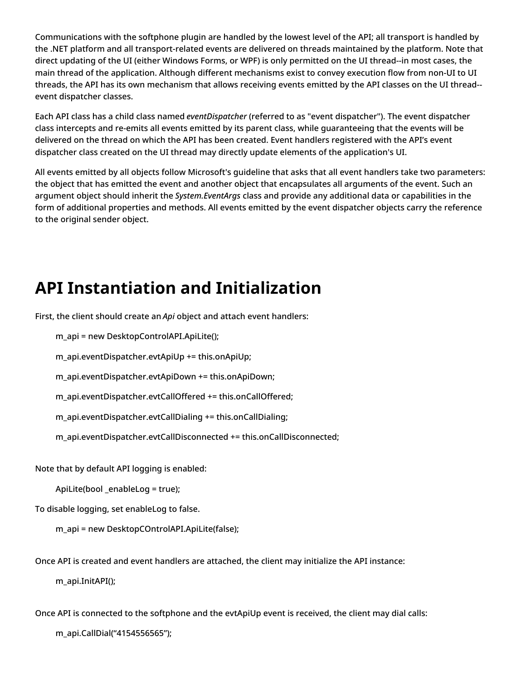Communications with the softphone plugin are handled by the lowest level of the API; all transport is handled by the .NET platform and all transport-related events are delivered on threads maintained by the platform. Note that direct updating of the UI (either Windows Forms, or WPF) is only permitted on the UI thread--in most cases, the main thread of the application. Although different mechanisms exist to convey execution flow from non-UI to UI threads, the API has its own mechanism that allows receiving events emitted by the API classes on the UI thread- event dispatcher classes.

Each API class has a child class named *eventDispatcher* (referred to as "event dispatcher"). The event dispatcher class intercepts and re-emits all events emitted by its parent class, while guaranteeing that the events will be delivered on the thread on which the API has been created. Event handlers registered with the API's event dispatcher class created on the UI thread may directly update elements of the application's UI.

All events emitted by all objects follow Microsoft's guideline that asks that all event handlers take two parameters: the object that has emitted the event and another object that encapsulates all arguments of the event. Such an argument object should inherit the *System.EventArgs* class and provide any additional data or capabilities in the form of additional properties and methods. All events emitted by the event dispatcher objects carry the reference to the original sender object.

## <span id="page-4-0"></span>**API Instantiation and Initialization**

First, the client should create an *Api* object and attach event handlers:

m\_api = new DesktopControlAPI.ApiLite();

m\_api.eventDispatcher.evtApiUp += this.onApiUp;

m\_api.eventDispatcher.evtApiDown += this.onApiDown;

m\_api.eventDispatcher.evtCallOffered += this.onCallOffered;

m\_api.eventDispatcher.evtCallDialing += this.onCallDialing;

m\_api.eventDispatcher.evtCallDisconnected += this.onCallDisconnected;

Note that by default API logging is enabled:

ApiLite(bool \_enableLog = true);

To disable logging, set enableLog to false.

m\_api = new DesktopCOntrolAPI.ApiLite(false);

Once API is created and event handlers are attached, the client may initialize the API instance:

m\_api.InitAPI();

Once API is connected to the softphone and the evtApiUp event is received, the client may dial calls:

m\_api.CallDial("4154556565");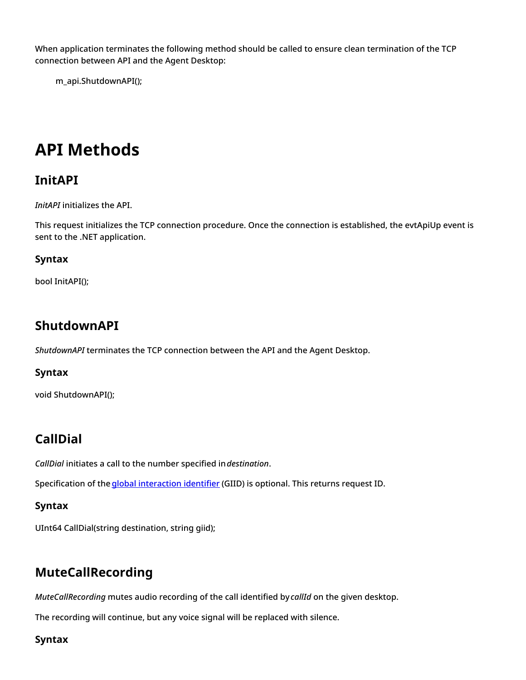When application terminates the following method should be called to ensure clean termination of the TCP connection between API and the Agent Desktop:

m\_api.ShutdownAPI();

## <span id="page-5-0"></span>**API Methods**

### <span id="page-5-1"></span>**InitAPI**

*InitAPI* initializes the API.

This request initializes the TCP connection procedure. Once the connection is established, the evtApiUp event is sent to the .NET application.

#### <span id="page-5-2"></span>**Syntax**

bool InitAPI();

### <span id="page-5-3"></span>**ShutdownAPI**

*ShutdownAPI* terminates the TCP connection between the API and the Agent Desktop.

#### <span id="page-5-4"></span>**Syntax**

void ShutdownAPI();

### <span id="page-5-5"></span>**CallDial**

*CallDial* initiates a call to the number specified in*destination*.

Specification of the *global [interaction](https://help.brightpattern.com/5.3:Simplified-desktop-net-api-specification/?action=html-localimages-export#topic_reporting-reference-guide.2Fglobalinteractionidentifier) identifier* (GIID) is optional. This returns request ID.

#### <span id="page-5-6"></span>**Syntax**

UInt64 CallDial(string destination, string giid);

### <span id="page-5-7"></span>**MuteCallRecording**

*MuteCallRecording* mutes audio recording of the call identified by*callId* on the given desktop.

The recording will continue, but any voice signal will be replaced with silence.

<span id="page-5-8"></span>**Syntax**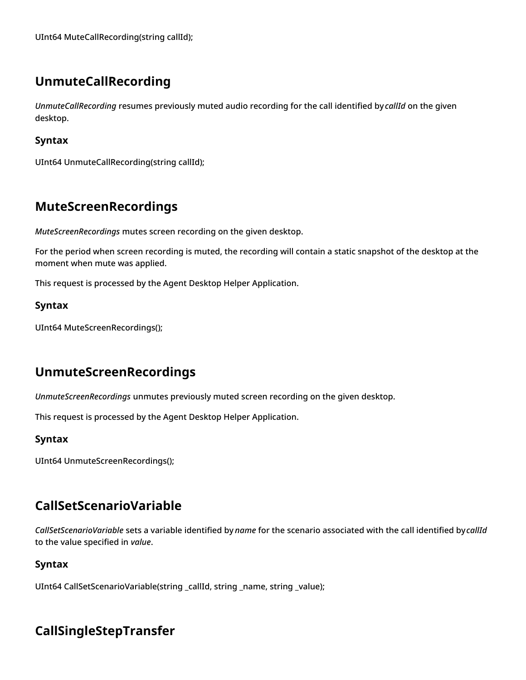### <span id="page-6-0"></span>**UnmuteCallRecording**

*UnmuteCallRecording* resumes previously muted audio recording for the call identified by*callId* on the given desktop.

#### <span id="page-6-1"></span>**Syntax**

UInt64 UnmuteCallRecording(string callId);

### <span id="page-6-2"></span>**MuteScreenRecordings**

*MuteScreenRecordings* mutes screen recording on the given desktop.

For the period when screen recording is muted, the recording will contain a static snapshot of the desktop at the moment when mute was applied.

This request is processed by the Agent Desktop Helper Application.

#### <span id="page-6-3"></span>**Syntax**

UInt64 MuteScreenRecordings();

### <span id="page-6-4"></span>**UnmuteScreenRecordings**

*UnmuteScreenRecordings* unmutes previously muted screen recording on the given desktop.

This request is processed by the Agent Desktop Helper Application.

#### <span id="page-6-5"></span>**Syntax**

UInt64 UnmuteScreenRecordings();

### <span id="page-6-6"></span>**CallSetScenarioVariable**

*CallSetScenarioVariable* sets a variable identified by *name* for the scenario associated with the call identified by*callId* to the value specified in *value*.

#### <span id="page-6-7"></span>**Syntax**

UInt64 CallSetScenarioVariable(string \_callId, string \_name, string \_value);

### <span id="page-6-8"></span>**CallSingleStepTransfer**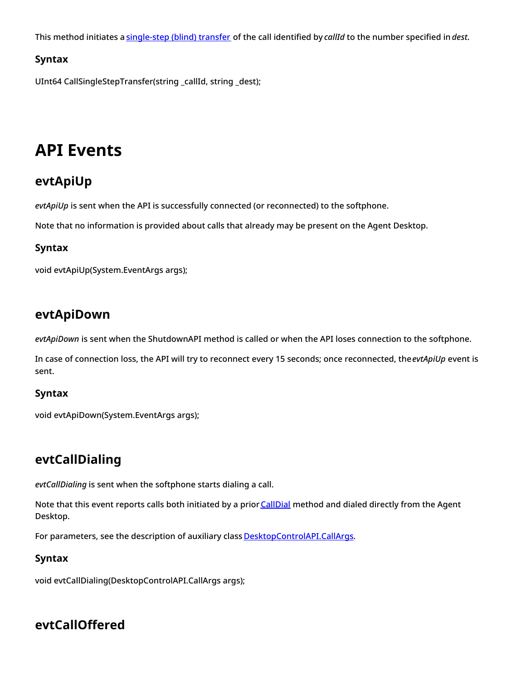This method initiates a [single-step](https://help.brightpattern.com/5.3:Simplified-desktop-net-api-specification/?action=html-localimages-export#topic_agent-guide.2Ftutorials.2Fcalls.2Fhowtoplaceacallinaservicequeue) (blind) transfer of the call identified by *callId* to the number specified in*dest*.

#### <span id="page-7-0"></span>**Syntax**

UInt64 CallSingleStepTransfer(string \_callId, string \_dest);

## <span id="page-7-1"></span>**API Events**

### <span id="page-7-2"></span>**evtApiUp**

*evtApiUp* is sent when the API is successfully connected (or reconnected) to the softphone.

Note that no information is provided about calls that already may be present on the Agent Desktop.

#### <span id="page-7-3"></span>**Syntax**

void evtApiUp(System.EventArgs args);

### <span id="page-7-4"></span>**evtApiDown**

*evtApiDown* is sent when the ShutdownAPI method is called or when the API loses connection to the softphone.

In case of connection loss, the API will try to reconnect every 15 seconds; once reconnected, the*evtApiUp* event is sent.

#### <span id="page-7-5"></span>**Syntax**

void evtApiDown(System.EventArgs args);

### <span id="page-7-6"></span>**evtCallDialing**

*evtCallDialing* is sent when the softphone starts dialing a call.

Note that this event reports calls both initiated by a prior [CallDial](https://help.brightpattern.com/5.3:Simplified-desktop-net-api-specification/?action=html-localimages-export#topic_simplified-desktop-net-api-specification.2Fapimethods) method and dialed directly from the Agent Desktop.

For parameters, see the description of auxiliary class [DesktopControlAPI.CallArgs](https://help.brightpattern.com/5.3:Simplified-desktop-net-api-specification/?action=html-localimages-export#topic_simplified-desktop-net-api-specification.2Fauxiliaryclasses).

#### <span id="page-7-7"></span>**Syntax**

void evtCallDialing(DesktopControlAPI.CallArgs args);

### <span id="page-7-8"></span>**evtCallOffered**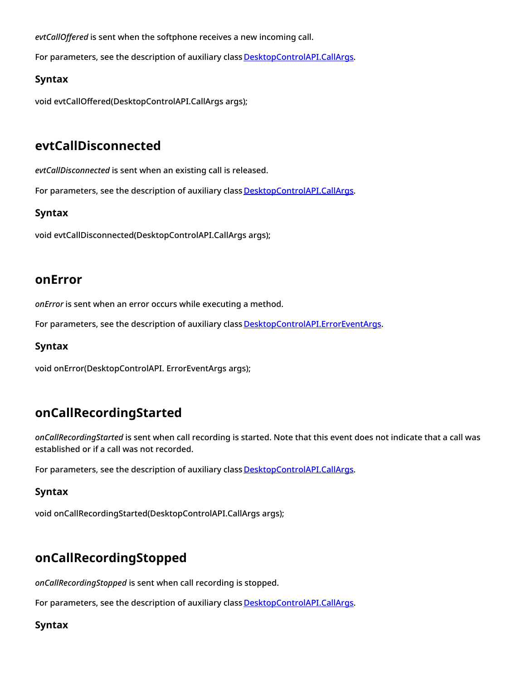*evtCallOffered* is sent when the softphone receives a new incoming call.

For parameters, see the description of auxiliary class [DesktopControlAPI.CallArgs](https://help.brightpattern.com/5.3:Simplified-desktop-net-api-specification/?action=html-localimages-export#topic_simplified-desktop-net-api-specification.2Fauxiliaryclasses).

#### <span id="page-8-0"></span>**Syntax**

void evtCallOffered(DesktopControlAPI.CallArgs args);

### <span id="page-8-1"></span>**evtCallDisconnected**

*evtCallDisconnected* is sent when an existing call is released.

For parameters, see the description of auxiliary class [DesktopControlAPI.CallArgs](https://help.brightpattern.com/5.3:Simplified-desktop-net-api-specification/?action=html-localimages-export#topic_simplified-desktop-net-api-specification.2Fauxiliaryclasses).

#### <span id="page-8-2"></span>**Syntax**

void evtCallDisconnected(DesktopControlAPI.CallArgs args);

#### <span id="page-8-3"></span>**onError**

*onError* is sent when an error occurs while executing a method.

For parameters, see the description of auxiliary class [DesktopControlAPI.ErrorEventArgs](https://help.brightpattern.com/5.3:Simplified-desktop-net-api-specification/?action=html-localimages-export#topic_simplified-desktop-net-api-specification.2Fauxiliaryclasses).

#### <span id="page-8-4"></span>**Syntax**

void onError(DesktopControlAPI. ErrorEventArgs args);

### <span id="page-8-5"></span>**onCallRecordingStarted**

*onCallRecordingStarted* is sent when call recording is started. Note that this event does not indicate that a call was established or if a call was not recorded.

For parameters, see the description of auxiliary class [DesktopControlAPI.CallArgs](https://help.brightpattern.com/5.3:Simplified-desktop-net-api-specification/?action=html-localimages-export#topic_simplified-desktop-net-api-specification.2Fauxiliaryclasses).

#### <span id="page-8-6"></span>**Syntax**

void onCallRecordingStarted(DesktopControlAPI.CallArgs args);

### <span id="page-8-7"></span>**onCallRecordingStopped**

*onCallRecordingStopped* is sent when call recording is stopped.

For parameters, see the description of auxiliary class [DesktopControlAPI.CallArgs](https://help.brightpattern.com/5.3:Simplified-desktop-net-api-specification/?action=html-localimages-export#topic_simplified-desktop-net-api-specification.2Fauxiliaryclasses).

#### <span id="page-8-8"></span>**Syntax**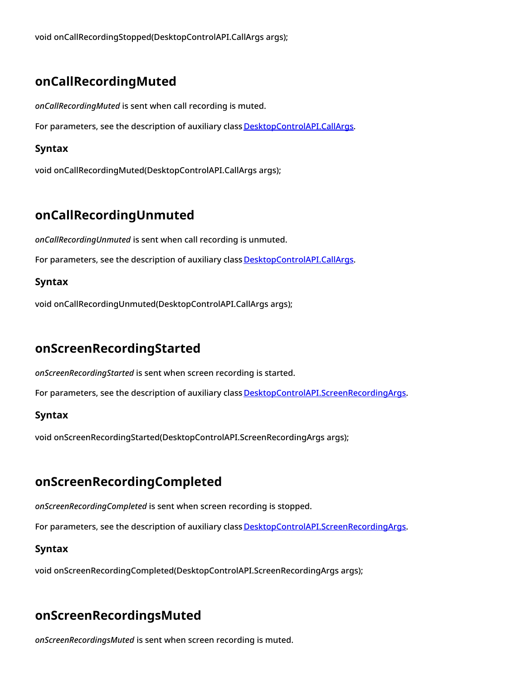void onCallRecordingStopped(DesktopControlAPI.CallArgs args);

### <span id="page-9-0"></span>**onCallRecordingMuted**

*onCallRecordingMuted* is sent when call recording is muted.

For parameters, see the description of auxiliary class **[DesktopControlAPI.CallArgs](https://help.brightpattern.com/5.3:Simplified-desktop-net-api-specification/?action=html-localimages-export#topic_simplified-desktop-net-api-specification.2Fauxiliaryclasses)**.

#### <span id="page-9-1"></span>**Syntax**

void onCallRecordingMuted(DesktopControlAPI.CallArgs args);

### <span id="page-9-2"></span>**onCallRecordingUnmuted**

*onCallRecordingUnmuted* is sent when call recording is unmuted.

For parameters, see the description of auxiliary class **[DesktopControlAPI.CallArgs](https://help.brightpattern.com/5.3:Simplified-desktop-net-api-specification/?action=html-localimages-export#topic_simplified-desktop-net-api-specification.2Fauxiliaryclasses).** 

#### <span id="page-9-3"></span>**Syntax**

void onCallRecordingUnmuted(DesktopControlAPI.CallArgs args);

### <span id="page-9-4"></span>**onScreenRecordingStarted**

*onScreenRecordingStarted* is sent when screen recording is started.

For parameters, see the description of auxiliary class **[DesktopControlAPI.ScreenRecordingArgs](https://help.brightpattern.com/5.3:Simplified-desktop-net-api-specification/?action=html-localimages-export#topic_simplified-desktop-net-api-specification.2Fauxiliaryclasses).** 

#### <span id="page-9-5"></span>**Syntax**

void onScreenRecordingStarted(DesktopControlAPI.ScreenRecordingArgs args);

### <span id="page-9-6"></span>**onScreenRecordingCompleted**

*onScreenRecordingCompleted* is sent when screen recording is stopped.

For parameters, see the description of auxiliary class **[DesktopControlAPI.ScreenRecordingArgs](https://help.brightpattern.com/5.3:Simplified-desktop-net-api-specification/?action=html-localimages-export#topic_simplified-desktop-net-api-specification.2Fauxiliaryclasses).** 

#### <span id="page-9-7"></span>**Syntax**

void onScreenRecordingCompleted(DesktopControlAPI.ScreenRecordingArgs args);

### <span id="page-9-8"></span>**onScreenRecordingsMuted**

*onScreenRecordingsMuted* is sent when screen recording is muted.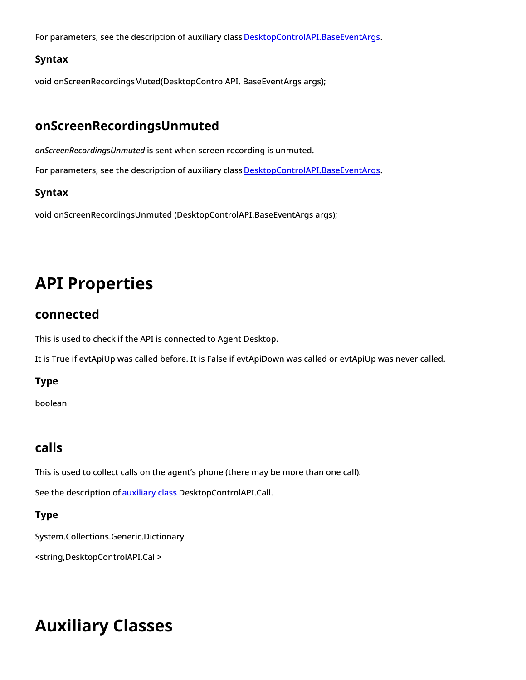For parameters, see the description of auxiliary class [DesktopControlAPI.BaseEventArgs](https://help.brightpattern.com/5.3:Simplified-desktop-net-api-specification/?action=html-localimages-export#topic_simplified-desktop-net-api-specification.2Fauxiliaryclasses).

#### <span id="page-10-0"></span>**Syntax**

void onScreenRecordingsMuted(DesktopControlAPI. BaseEventArgs args);

### <span id="page-10-1"></span>**onScreenRecordingsUnmuted**

*onScreenRecordingsUnmuted* is sent when screen recording is unmuted.

For parameters, see the description of auxiliary class [DesktopControlAPI.BaseEventArgs](https://help.brightpattern.com/5.3:Simplified-desktop-net-api-specification/?action=html-localimages-export#topic_simplified-desktop-net-api-specification.2Fauxiliaryclasses).

#### <span id="page-10-2"></span>**Syntax**

void onScreenRecordingsUnmuted (DesktopControlAPI.BaseEventArgs args);

# <span id="page-10-3"></span>**API Properties**

### <span id="page-10-4"></span>**connected**

This is used to check if the API is connected to Agent Desktop.

It is True if evtApiUp was called before. It is False if evtApiDown was called or evtApiUp was never called.

#### <span id="page-10-5"></span>**Type**

boolean

### <span id="page-10-6"></span>**calls**

This is used to collect calls on the agent's phone (there may be more than one call).

See the description of **[auxiliary](https://help.brightpattern.com/5.3:Simplified-desktop-net-api-specification/?action=html-localimages-export#topic_simplified-desktop-net-api-specification.2Fauxiliaryclasses) class** DesktopControlAPI.Call.

#### <span id="page-10-7"></span>**Type**

System.Collections.Generic.Dictionary

<string,DesktopControlAPI.Call>

# <span id="page-10-8"></span>**Auxiliary Classes**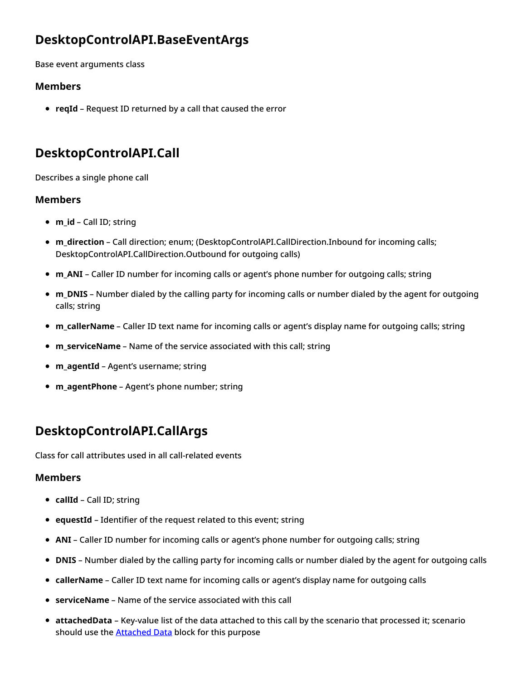### <span id="page-11-0"></span>**DesktopControlAPI.BaseEventArgs**

Base event arguments class

#### <span id="page-11-1"></span>**Members**

**reqId** – Request ID returned by a call that caused the error

### <span id="page-11-2"></span>**DesktopControlAPI.Call**

Describes a single phone call

#### <span id="page-11-3"></span>**Members**

- **m\_id** Call ID; string
- **m\_direction** Call direction; enum; (DesktopControlAPI.CallDirection.Inbound for incoming calls; DesktopControlAPI.CallDirection.Outbound for outgoing calls)
- **m\_ANI** Caller ID number for incoming calls or agent's phone number for outgoing calls; string
- **m\_DNIS** Number dialed by the calling party for incoming calls or number dialed by the agent for outgoing calls; string
- **m\_callerName** Caller ID text name for incoming calls or agent's display name for outgoing calls; string
- **m serviceName** Name of the service associated with this call; string
- **m\_agentId** Agent's username; string
- **m\_agentPhone** Agent's phone number; string

### <span id="page-11-4"></span>**DesktopControlAPI.CallArgs**

Class for call attributes used in all call-related events

#### <span id="page-11-5"></span>**Members**

- **callId** Call ID; string
- **e** equestId Identifier of the request related to this event; string
- **ANI** Caller ID number for incoming calls or agent's phone number for outgoing calls; string
- **DNIS** Number dialed by the calling party for incoming calls or number dialed by the agent for outgoing calls
- **callerName** Caller ID text name for incoming calls or agent's display name for outgoing calls
- **serviceName** Name of the service associated with this call
- **attachedData** Key-value list of the data attached to this call by the scenario that processed it; scenario should use the **[Attached](https://help.brightpattern.com/5.3:Simplified-desktop-net-api-specification/?action=html-localimages-export#topic_scenario-builder-reference-guide.2Fattacheddata) Data** block for this purpose